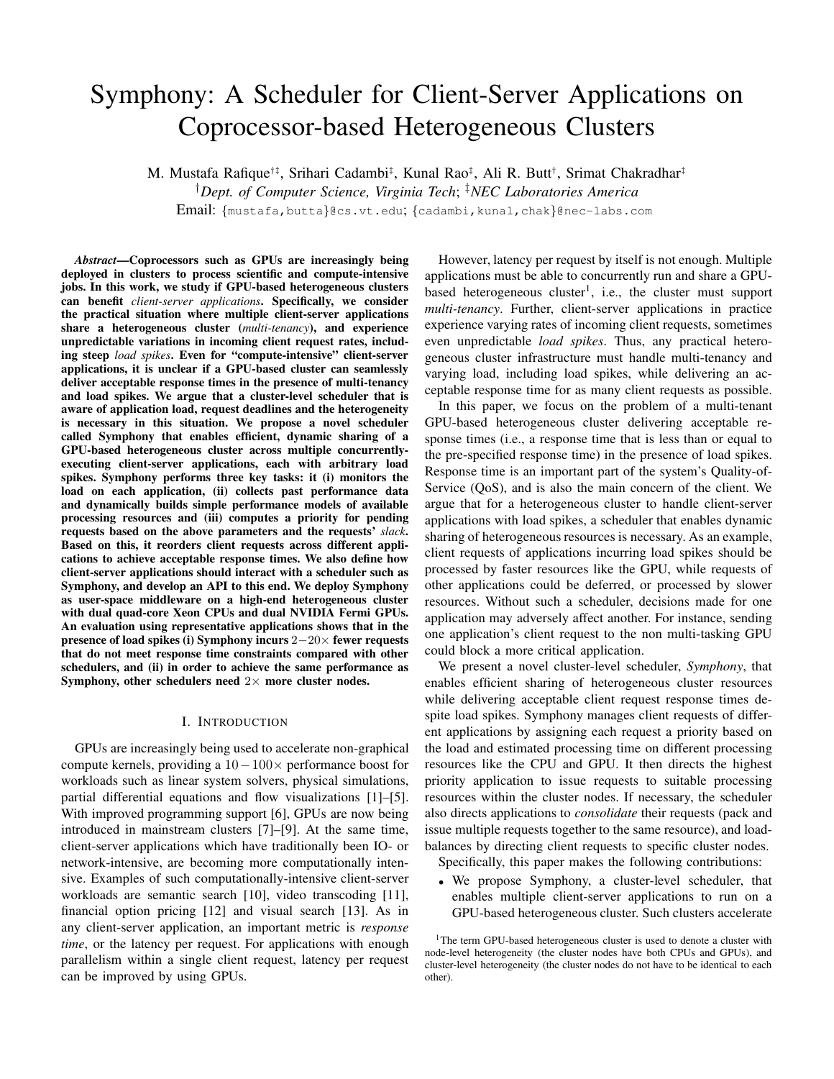# Symphony: A Scheduler for Client-Server Applications on Coprocessor-based Heterogeneous Clusters

M. Mustafa Rafique<sup>†‡</sup>, Srihari Cadambi<sup>‡</sup>, Kunal Rao<sup>‡</sup>, Ali R. Butt<sup>†</sup>, Srimat Chakradhar<sup>‡</sup>

†*Dept. of Computer Science, Virginia Tech*; ‡*NEC Laboratories America*

Email: {mustafa,butta}@cs.vt.edu; {cadambi,kunal,chak}@nec-labs.com

*Abstract***—Coprocessors such as GPUs are increasingly being deployed in clusters to process scientific and compute-intensive jobs. In this work, we study if GPU-based heterogeneous clusters can benefit** *client-server applications***. Specifically, we consider the practical situation where multiple client-server applications share a heterogeneous cluster (***multi-tenancy***), and experience unpredictable variations in incoming client request rates, including steep** *load spikes***. Even for "compute-intensive" client-server applications, it is unclear if a GPU-based cluster can seamlessly deliver acceptable response times in the presence of multi-tenancy and load spikes. We argue that a cluster-level scheduler that is aware of application load, request deadlines and the heterogeneity is necessary in this situation. We propose a novel scheduler called Symphony that enables efficient, dynamic sharing of a GPU-based heterogeneous cluster across multiple concurrentlyexecuting client-server applications, each with arbitrary load spikes. Symphony performs three key tasks: it (i) monitors the load on each application, (ii) collects past performance data and dynamically builds simple performance models of available processing resources and (iii) computes a priority for pending requests based on the above parameters and the requests'** *slack***. Based on this, it reorders client requests across different applications to achieve acceptable response times. We also define how client-server applications should interact with a scheduler such as Symphony, and develop an API to this end. We deploy Symphony as user-space middleware on a high-end heterogeneous cluster with dual quad-core Xeon CPUs and dual NVIDIA Fermi GPUs. An evaluation using representative applications shows that in the presence of load spikes (i) Symphony incurs** 2−20× **fewer requests that do not meet response time constraints compared with other schedulers, and (ii) in order to achieve the same performance as Symphony, other schedulers need** 2× **more cluster nodes.**

#### I. INTRODUCTION

GPUs are increasingly being used to accelerate non-graphical compute kernels, providing a  $10-100\times$  performance boost for workloads such as linear system solvers, physical simulations, partial differential equations and flow visualizations [1]–[5]. With improved programming support [6], GPUs are now being introduced in mainstream clusters [7]–[9]. At the same time, client-server applications which have traditionally been IO- or network-intensive, are becoming more computationally intensive. Examples of such computationally-intensive client-server workloads are semantic search [10], video transcoding [11], financial option pricing [12] and visual search [13]. As in any client-server application, an important metric is *response time*, or the latency per request. For applications with enough parallelism within a single client request, latency per request can be improved by using GPUs.

However, latency per request by itself is not enough. Multiple applications must be able to concurrently run and share a GPUbased heterogeneous cluster<sup>1</sup>, i.e., the cluster must support *multi-tenancy*. Further, client-server applications in practice experience varying rates of incoming client requests, sometimes even unpredictable *load spikes*. Thus, any practical heterogeneous cluster infrastructure must handle multi-tenancy and varying load, including load spikes, while delivering an acceptable response time for as many client requests as possible.

In this paper, we focus on the problem of a multi-tenant GPU-based heterogeneous cluster delivering acceptable response times (i.e., a response time that is less than or equal to the pre-specified response time) in the presence of load spikes. Response time is an important part of the system's Quality-of-Service (QoS), and is also the main concern of the client. We argue that for a heterogeneous cluster to handle client-server applications with load spikes, a scheduler that enables dynamic sharing of heterogeneous resources is necessary. As an example, client requests of applications incurring load spikes should be processed by faster resources like the GPU, while requests of other applications could be deferred, or processed by slower resources. Without such a scheduler, decisions made for one application may adversely affect another. For instance, sending one application's client request to the non multi-tasking GPU could block a more critical application.

We present a novel cluster-level scheduler, *Symphony*, that enables efficient sharing of heterogeneous cluster resources while delivering acceptable client request response times despite load spikes. Symphony manages client requests of different applications by assigning each request a priority based on the load and estimated processing time on different processing resources like the CPU and GPU. It then directs the highest priority application to issue requests to suitable processing resources within the cluster nodes. If necessary, the scheduler also directs applications to *consolidate* their requests (pack and issue multiple requests together to the same resource), and loadbalances by directing client requests to specific cluster nodes.

Specifically, this paper makes the following contributions:

• We propose Symphony, a cluster-level scheduler, that enables multiple client-server applications to run on a GPU-based heterogeneous cluster. Such clusters accelerate

<sup>&</sup>lt;sup>1</sup>The term GPU-based heterogeneous cluster is used to denote a cluster with node-level heterogeneity (the cluster nodes have both CPUs and GPUs), and cluster-level heterogeneity (the cluster nodes do not have to be identical to each other).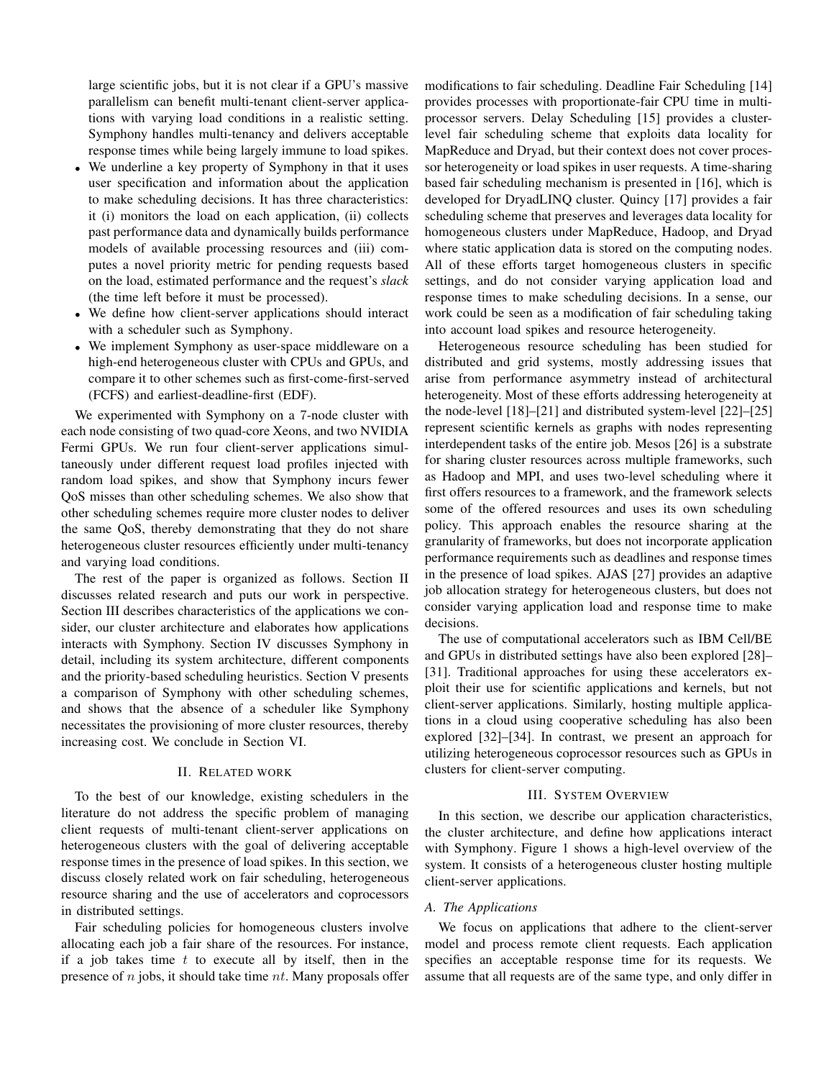large scientific jobs, but it is not clear if a GPU's massive parallelism can benefit multi-tenant client-server applications with varying load conditions in a realistic setting. Symphony handles multi-tenancy and delivers acceptable response times while being largely immune to load spikes.

- We underline a key property of Symphony in that it uses user specification and information about the application to make scheduling decisions. It has three characteristics: it (i) monitors the load on each application, (ii) collects past performance data and dynamically builds performance models of available processing resources and (iii) computes a novel priority metric for pending requests based on the load, estimated performance and the request's *slack* (the time left before it must be processed).
- We define how client-server applications should interact with a scheduler such as Symphony.
- We implement Symphony as user-space middleware on a high-end heterogeneous cluster with CPUs and GPUs, and compare it to other schemes such as first-come-first-served (FCFS) and earliest-deadline-first (EDF).

We experimented with Symphony on a 7-node cluster with each node consisting of two quad-core Xeons, and two NVIDIA Fermi GPUs. We run four client-server applications simultaneously under different request load profiles injected with random load spikes, and show that Symphony incurs fewer QoS misses than other scheduling schemes. We also show that other scheduling schemes require more cluster nodes to deliver the same QoS, thereby demonstrating that they do not share heterogeneous cluster resources efficiently under multi-tenancy and varying load conditions.

The rest of the paper is organized as follows. Section II discusses related research and puts our work in perspective. Section III describes characteristics of the applications we consider, our cluster architecture and elaborates how applications interacts with Symphony. Section IV discusses Symphony in detail, including its system architecture, different components and the priority-based scheduling heuristics. Section V presents a comparison of Symphony with other scheduling schemes, and shows that the absence of a scheduler like Symphony necessitates the provisioning of more cluster resources, thereby increasing cost. We conclude in Section VI.

## II. RELATED WORK

To the best of our knowledge, existing schedulers in the literature do not address the specific problem of managing client requests of multi-tenant client-server applications on heterogeneous clusters with the goal of delivering acceptable response times in the presence of load spikes. In this section, we discuss closely related work on fair scheduling, heterogeneous resource sharing and the use of accelerators and coprocessors in distributed settings.

Fair scheduling policies for homogeneous clusters involve allocating each job a fair share of the resources. For instance, if a job takes time  $t$  to execute all by itself, then in the presence of  $n$  jobs, it should take time  $nt$ . Many proposals offer

modifications to fair scheduling. Deadline Fair Scheduling [14] provides processes with proportionate-fair CPU time in multiprocessor servers. Delay Scheduling [15] provides a clusterlevel fair scheduling scheme that exploits data locality for MapReduce and Dryad, but their context does not cover processor heterogeneity or load spikes in user requests. A time-sharing based fair scheduling mechanism is presented in [16], which is developed for DryadLINQ cluster. Quincy [17] provides a fair scheduling scheme that preserves and leverages data locality for homogeneous clusters under MapReduce, Hadoop, and Dryad where static application data is stored on the computing nodes. All of these efforts target homogeneous clusters in specific settings, and do not consider varying application load and response times to make scheduling decisions. In a sense, our work could be seen as a modification of fair scheduling taking into account load spikes and resource heterogeneity.

Heterogeneous resource scheduling has been studied for distributed and grid systems, mostly addressing issues that arise from performance asymmetry instead of architectural heterogeneity. Most of these efforts addressing heterogeneity at the node-level [18]–[21] and distributed system-level [22]–[25] represent scientific kernels as graphs with nodes representing interdependent tasks of the entire job. Mesos [26] is a substrate for sharing cluster resources across multiple frameworks, such as Hadoop and MPI, and uses two-level scheduling where it first offers resources to a framework, and the framework selects some of the offered resources and uses its own scheduling policy. This approach enables the resource sharing at the granularity of frameworks, but does not incorporate application performance requirements such as deadlines and response times in the presence of load spikes. AJAS [27] provides an adaptive job allocation strategy for heterogeneous clusters, but does not consider varying application load and response time to make decisions.

The use of computational accelerators such as IBM Cell/BE and GPUs in distributed settings have also been explored [28]– [31]. Traditional approaches for using these accelerators exploit their use for scientific applications and kernels, but not client-server applications. Similarly, hosting multiple applications in a cloud using cooperative scheduling has also been explored [32]–[34]. In contrast, we present an approach for utilizing heterogeneous coprocessor resources such as GPUs in clusters for client-server computing.

#### III. SYSTEM OVERVIEW

In this section, we describe our application characteristics, the cluster architecture, and define how applications interact with Symphony. Figure 1 shows a high-level overview of the system. It consists of a heterogeneous cluster hosting multiple client-server applications.

## *A. The Applications*

We focus on applications that adhere to the client-server model and process remote client requests. Each application specifies an acceptable response time for its requests. We assume that all requests are of the same type, and only differ in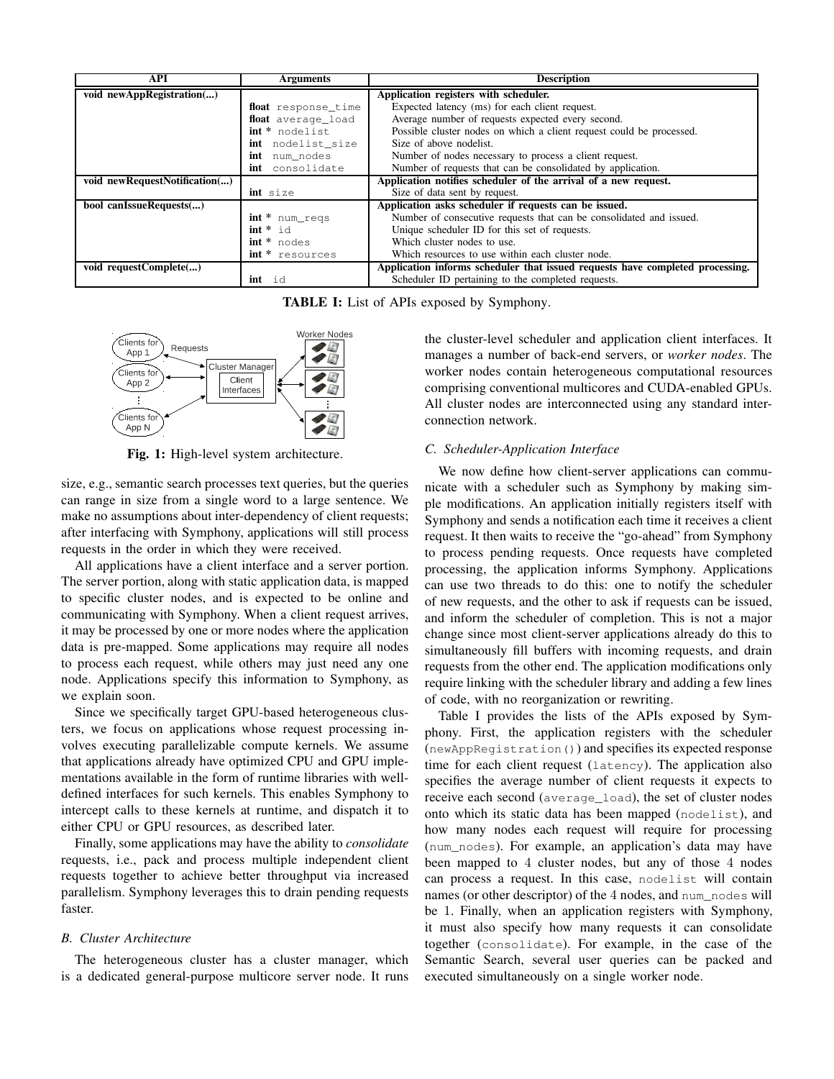| API                           | <b>Arguments</b>    | <b>Description</b>                                                            |  |  |  |  |
|-------------------------------|---------------------|-------------------------------------------------------------------------------|--|--|--|--|
| void newAppRegistration()     |                     | Application registers with scheduler.                                         |  |  |  |  |
|                               | float response time | Expected latency (ms) for each client request.                                |  |  |  |  |
|                               | float average_load  | Average number of requests expected every second.                             |  |  |  |  |
|                               | int * nodelist      | Possible cluster nodes on which a client request could be processed.          |  |  |  |  |
|                               | int nodelist size   | Size of above nodelist.                                                       |  |  |  |  |
|                               | int num nodes       | Number of nodes necessary to process a client request.                        |  |  |  |  |
|                               | int consolidate     | Number of requests that can be consolidated by application.                   |  |  |  |  |
| void newRequestNotification() |                     | Application notifies scheduler of the arrival of a new request.               |  |  |  |  |
|                               | int size            | Size of data sent by request.                                                 |  |  |  |  |
| bool canIssueRequests()       |                     | Application asks scheduler if requests can be issued.                         |  |  |  |  |
|                               | int * num regs      | Number of consecutive requests that can be consolidated and issued.           |  |  |  |  |
|                               | $int * id$          | Unique scheduler ID for this set of requests.                                 |  |  |  |  |
|                               | $int * nodes$       | Which cluster nodes to use.                                                   |  |  |  |  |
|                               | int * resources     | Which resources to use within each cluster node.                              |  |  |  |  |
| void requestComplete()        |                     | Application informs scheduler that issued requests have completed processing. |  |  |  |  |
|                               | int id              | Scheduler ID pertaining to the completed requests.                            |  |  |  |  |

**TABLE I:** List of APIs exposed by Symphony.



**Fig. 1:** High-level system architecture.

size, e.g., semantic search processes text queries, but the queries can range in size from a single word to a large sentence. We make no assumptions about inter-dependency of client requests; after interfacing with Symphony, applications will still process requests in the order in which they were received.

All applications have a client interface and a server portion. The server portion, along with static application data, is mapped to specific cluster nodes, and is expected to be online and communicating with Symphony. When a client request arrives, it may be processed by one or more nodes where the application data is pre-mapped. Some applications may require all nodes to process each request, while others may just need any one node. Applications specify this information to Symphony, as we explain soon.

Since we specifically target GPU-based heterogeneous clusters, we focus on applications whose request processing involves executing parallelizable compute kernels. We assume that applications already have optimized CPU and GPU implementations available in the form of runtime libraries with welldefined interfaces for such kernels. This enables Symphony to intercept calls to these kernels at runtime, and dispatch it to either CPU or GPU resources, as described later.

Finally, some applications may have the ability to *consolidate* requests, i.e., pack and process multiple independent client requests together to achieve better throughput via increased parallelism. Symphony leverages this to drain pending requests faster.

## *B. Cluster Architecture*

The heterogeneous cluster has a cluster manager, which is a dedicated general-purpose multicore server node. It runs the cluster-level scheduler and application client interfaces. It manages a number of back-end servers, or *worker nodes*. The worker nodes contain heterogeneous computational resources comprising conventional multicores and CUDA-enabled GPUs. All cluster nodes are interconnected using any standard interconnection network.

## *C. Scheduler-Application Interface*

We now define how client-server applications can communicate with a scheduler such as Symphony by making simple modifications. An application initially registers itself with Symphony and sends a notification each time it receives a client request. It then waits to receive the "go-ahead" from Symphony to process pending requests. Once requests have completed processing, the application informs Symphony. Applications can use two threads to do this: one to notify the scheduler of new requests, and the other to ask if requests can be issued, and inform the scheduler of completion. This is not a major change since most client-server applications already do this to simultaneously fill buffers with incoming requests, and drain requests from the other end. The application modifications only require linking with the scheduler library and adding a few lines of code, with no reorganization or rewriting.

Table I provides the lists of the APIs exposed by Symphony. First, the application registers with the scheduler (newAppRegistration()) and specifies its expected response time for each client request (latency). The application also specifies the average number of client requests it expects to receive each second (average\_load), the set of cluster nodes onto which its static data has been mapped (nodelist), and how many nodes each request will require for processing (num\_nodes). For example, an application's data may have been mapped to 4 cluster nodes, but any of those 4 nodes can process a request. In this case, nodelist will contain names (or other descriptor) of the 4 nodes, and num\_nodes will be 1. Finally, when an application registers with Symphony, it must also specify how many requests it can consolidate together (consolidate). For example, in the case of the Semantic Search, several user queries can be packed and executed simultaneously on a single worker node.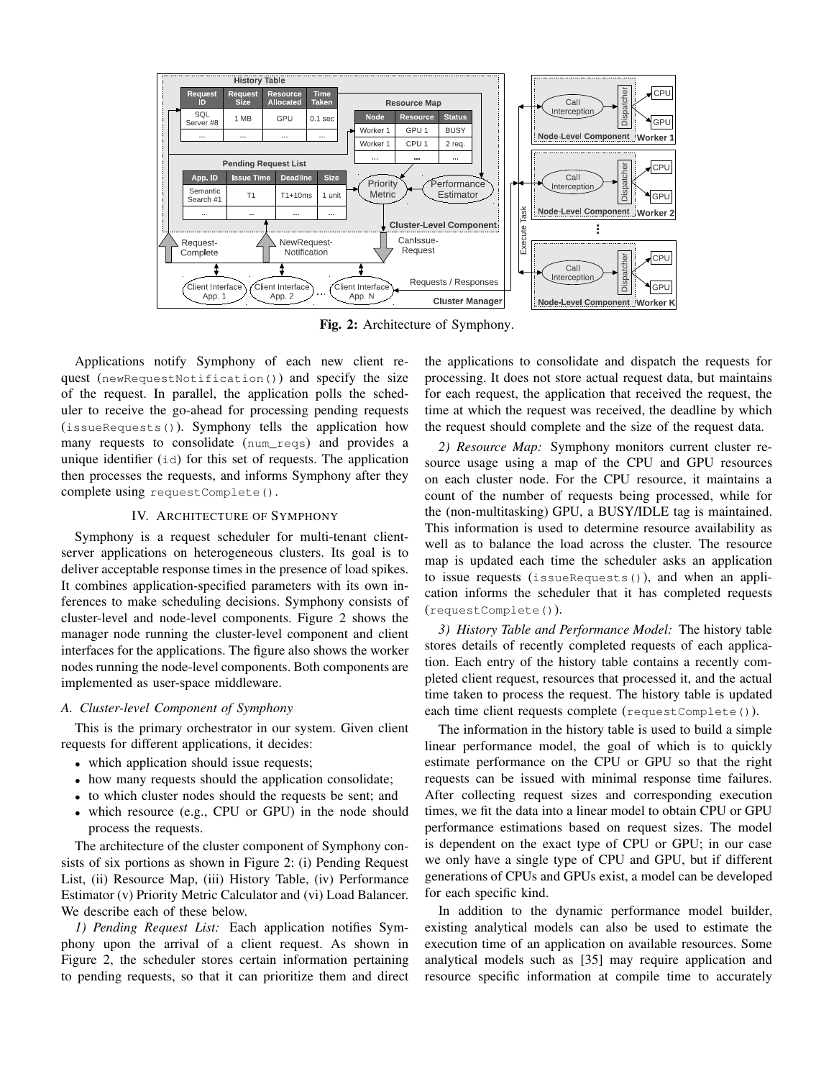

**Fig. 2:** Architecture of Symphony.

Applications notify Symphony of each new client request (newRequestNotification()) and specify the size of the request. In parallel, the application polls the scheduler to receive the go-ahead for processing pending requests (issueRequests()). Symphony tells the application how many requests to consolidate (num\_reqs) and provides a unique identifier (id) for this set of requests. The application then processes the requests, and informs Symphony after they complete using requestComplete().

## IV. ARCHITECTURE OF SYMPHONY

Symphony is a request scheduler for multi-tenant clientserver applications on heterogeneous clusters. Its goal is to deliver acceptable response times in the presence of load spikes. It combines application-specified parameters with its own inferences to make scheduling decisions. Symphony consists of cluster-level and node-level components. Figure 2 shows the manager node running the cluster-level component and client interfaces for the applications. The figure also shows the worker nodes running the node-level components. Both components are implemented as user-space middleware.

#### *A. Cluster-level Component of Symphony*

This is the primary orchestrator in our system. Given client requests for different applications, it decides:

- which application should issue requests;
- how many requests should the application consolidate;
- to which cluster nodes should the requests be sent; and
- which resource (e.g., CPU or GPU) in the node should process the requests.

The architecture of the cluster component of Symphony consists of six portions as shown in Figure 2: (i) Pending Request List, (ii) Resource Map, (iii) History Table, (iv) Performance Estimator (v) Priority Metric Calculator and (vi) Load Balancer. We describe each of these below.

*1) Pending Request List:* Each application notifies Symphony upon the arrival of a client request. As shown in Figure 2, the scheduler stores certain information pertaining to pending requests, so that it can prioritize them and direct the applications to consolidate and dispatch the requests for processing. It does not store actual request data, but maintains for each request, the application that received the request, the time at which the request was received, the deadline by which the request should complete and the size of the request data.

*2) Resource Map:* Symphony monitors current cluster resource usage using a map of the CPU and GPU resources on each cluster node. For the CPU resource, it maintains a count of the number of requests being processed, while for the (non-multitasking) GPU, a BUSY/IDLE tag is maintained. This information is used to determine resource availability as well as to balance the load across the cluster. The resource map is updated each time the scheduler asks an application to issue requests (issueRequests()), and when an application informs the scheduler that it has completed requests (requestComplete()).

*3) History Table and Performance Model:* The history table stores details of recently completed requests of each application. Each entry of the history table contains a recently completed client request, resources that processed it, and the actual time taken to process the request. The history table is updated each time client requests complete (requestComplete()).

The information in the history table is used to build a simple linear performance model, the goal of which is to quickly estimate performance on the CPU or GPU so that the right requests can be issued with minimal response time failures. After collecting request sizes and corresponding execution times, we fit the data into a linear model to obtain CPU or GPU performance estimations based on request sizes. The model is dependent on the exact type of CPU or GPU; in our case we only have a single type of CPU and GPU, but if different generations of CPUs and GPUs exist, a model can be developed for each specific kind.

In addition to the dynamic performance model builder, existing analytical models can also be used to estimate the execution time of an application on available resources. Some analytical models such as [35] may require application and resource specific information at compile time to accurately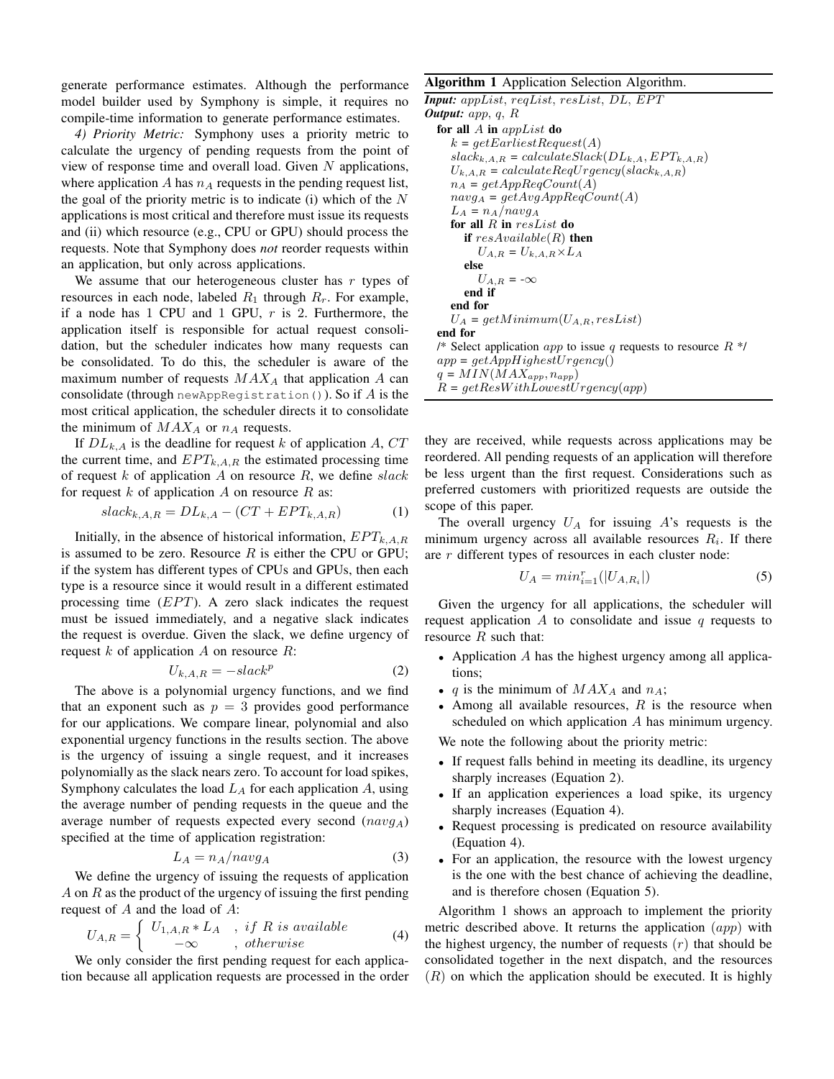generate performance estimates. Although the performance model builder used by Symphony is simple, it requires no compile-time information to generate performance estimates.

*4) Priority Metric:* Symphony uses a priority metric to calculate the urgency of pending requests from the point of view of response time and overall load. Given  $N$  applications, where application A has  $n_A$  requests in the pending request list, the goal of the priority metric is to indicate (i) which of the  $N$ applications is most critical and therefore must issue its requests and (ii) which resource (e.g., CPU or GPU) should process the requests. Note that Symphony does *not* reorder requests within an application, but only across applications.

We assume that our heterogeneous cluster has  $r$  types of resources in each node, labeled  $R_1$  through  $R_r$ . For example, if a node has  $1$  CPU and  $1$  GPU,  $r$  is  $2$ . Furthermore, the application itself is responsible for actual request consolidation, but the scheduler indicates how many requests can be consolidated. To do this, the scheduler is aware of the maximum number of requests  $MAX_A$  that application A can consolidate (through newAppRegistration()). So if  $A$  is the most critical application, the scheduler directs it to consolidate the minimum of  $MAX_A$  or  $n_A$  requests.

If  $DL_{k,A}$  is the deadline for request k of application A,  $CT$ the current time, and  $EPT_{k,A,R}$  the estimated processing time of request  $k$  of application  $A$  on resource  $R$ , we define slack for request  $k$  of application  $A$  on resource  $R$  as:

$$
slack_{k,A,R} = DL_{k,A} - (CT + EPT_{k,A,R})
$$
 (1)

Initially, in the absence of historical information,  $EPT_{k,A,R}$ is assumed to be zero. Resource  $R$  is either the CPU or GPU; if the system has different types of CPUs and GPUs, then each type is a resource since it would result in a different estimated processing time  $(EPT)$ . A zero slack indicates the request must be issued immediately, and a negative slack indicates the request is overdue. Given the slack, we define urgency of request  $k$  of application  $A$  on resource  $R$ :

$$
U_{k,A,R} = -slack^p \tag{2}
$$

The above is a polynomial urgency functions, and we find that an exponent such as  $p = 3$  provides good performance for our applications. We compare linear, polynomial and also exponential urgency functions in the results section. The above is the urgency of issuing a single request, and it increases polynomially as the slack nears zero. To account for load spikes, Symphony calculates the load  $L_A$  for each application A, using the average number of pending requests in the queue and the average number of requests expected every second  $(navg<sub>A</sub>)$ specified at the time of application registration:

$$
L_A = n_A / n \, \text{avg}_A \tag{3}
$$

We define the urgency of issuing the requests of application  $A$  on  $R$  as the product of the urgency of issuing the first pending request of A and the load of A:

$$
U_{A,R} = \begin{cases} U_{1,A,R} * L_A, & if \ R \ is \ available \\ -\infty, & otherwise \end{cases}
$$
 (4)

We only consider the first pending request for each application because all application requests are processed in the order

# **Algorithm 1** Application Selection Algorithm.

```
Input: appList, regList, resList, DL, EPT
Output: app, q, R
  for all A in appList do
```

```
k = getEarliestRequest(A)slack_{k,A,R} = calculateSlack(DL_{k,A}, EPT_{k,A,R})U_{k,A,R} = calculateRegUrgency(slack_{k,A,R})n_A = getAppReqCount(A)navg_A = getAvgAppRegCount(A)L_A = n_A / n \frac{avg_A}{}for all R in resList do
     if resAvailable(R) then
       U_{A,R} = U_{k,A,R} \times L_Aelse
       U_{A,R} = -\inftyend if
  end for
  U_A = getMinimum(U_{A,R}, result)end for
/* Select application app to issue q requests to resource R */
app = getAppHigherUrgency()q = MIN(MAX_{app}, n_{app})R = getResWithLowerUrgency(ap)
```
they are received, while requests across applications may be reordered. All pending requests of an application will therefore be less urgent than the first request. Considerations such as preferred customers with prioritized requests are outside the scope of this paper.

The overall urgency  $U_A$  for issuing A's requests is the minimum urgency across all available resources  $R_i$ . If there are  $r$  different types of resources in each cluster node:

$$
U_A = min_{i=1}^r(|U_{A,R_i}|)
$$
 (5)

Given the urgency for all applications, the scheduler will request application  $A$  to consolidate and issue  $q$  requests to resource  $R$  such that:

- Application  $A$  has the highest urgency among all applications;
- q is the minimum of  $MAX_A$  and  $n_A$ ;
- Among all available resources,  $R$  is the resource when scheduled on which application A has minimum urgency.

We note the following about the priority metric:

- If request falls behind in meeting its deadline, its urgency sharply increases (Equation 2).
- If an application experiences a load spike, its urgency sharply increases (Equation 4).
- Request processing is predicated on resource availability (Equation 4).
- For an application, the resource with the lowest urgency is the one with the best chance of achieving the deadline, and is therefore chosen (Equation 5).

Algorithm 1 shows an approach to implement the priority metric described above. It returns the application  $(app)$  with the highest urgency, the number of requests  $(r)$  that should be consolidated together in the next dispatch, and the resources  $(R)$  on which the application should be executed. It is highly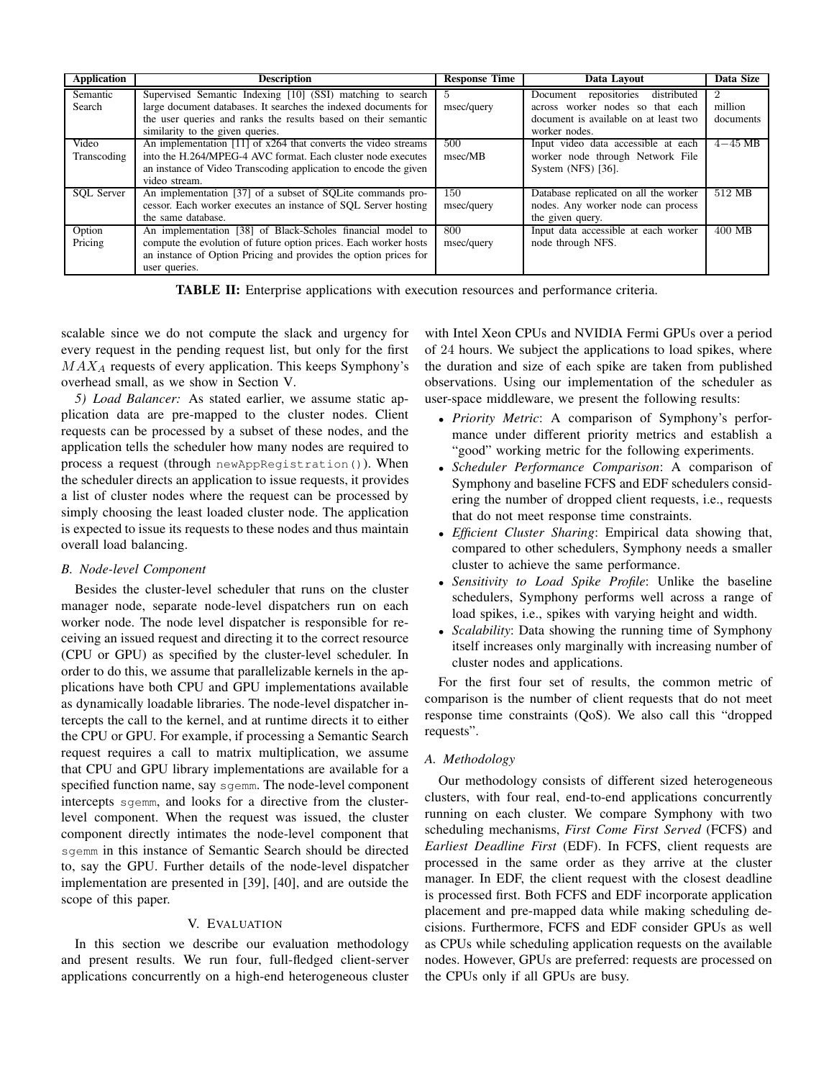| Application | <b>Description</b>                                               | <b>Response Time</b> | Data Lavout                             | Data Size        |
|-------------|------------------------------------------------------------------|----------------------|-----------------------------------------|------------------|
| Semantic    | Supervised Semantic Indexing [10] (SSI) matching to search       | Ð.                   | repositories<br>distributed<br>Document | $2^{x}$          |
| Search      | large document databases. It searches the indexed documents for  | msec/query           | across worker nodes so that each        | million          |
|             | the user queries and ranks the results based on their semantic   |                      | document is available on at least two   | documents        |
|             | similarity to the given queries.                                 |                      | worker nodes.                           |                  |
| Video       | An implementation [11] of $x264$ that converts the video streams | 500                  | Input video data accessible at each     | $4-45$ MB        |
| Transcoding | into the H.264/MPEG-4 AVC format. Each cluster node executes     | msec/MB              | worker node through Network File        |                  |
|             | an instance of Video Transcoding application to encode the given |                      | System (NFS) $[36]$ .                   |                  |
|             | video stream.                                                    |                      |                                         |                  |
| SOL Server  | An implementation [37] of a subset of SQLite commands pro-       | 150                  | Database replicated on all the worker   | 512 MB           |
|             | cessor. Each worker executes an instance of SOL Server hosting   | msec/query           | nodes. Any worker node can process      |                  |
|             | the same database.                                               |                      | the given query.                        |                  |
| Option      | An implementation [38] of Black-Scholes financial model to       | 800                  | Input data accessible at each worker    | $400 \text{ MB}$ |
| Pricing     | compute the evolution of future option prices. Each worker hosts | msec/query           | node through NFS.                       |                  |
|             | an instance of Option Pricing and provides the option prices for |                      |                                         |                  |
|             | user queries.                                                    |                      |                                         |                  |

**TABLE II:** Enterprise applications with execution resources and performance criteria.

scalable since we do not compute the slack and urgency for every request in the pending request list, but only for the first  $MAX_A$  requests of every application. This keeps Symphony's overhead small, as we show in Section V.

*5) Load Balancer:* As stated earlier, we assume static application data are pre-mapped to the cluster nodes. Client requests can be processed by a subset of these nodes, and the application tells the scheduler how many nodes are required to process a request (through newAppRegistration()). When the scheduler directs an application to issue requests, it provides a list of cluster nodes where the request can be processed by simply choosing the least loaded cluster node. The application is expected to issue its requests to these nodes and thus maintain overall load balancing.

## *B. Node-level Component*

Besides the cluster-level scheduler that runs on the cluster manager node, separate node-level dispatchers run on each worker node. The node level dispatcher is responsible for receiving an issued request and directing it to the correct resource (CPU or GPU) as specified by the cluster-level scheduler. In order to do this, we assume that parallelizable kernels in the applications have both CPU and GPU implementations available as dynamically loadable libraries. The node-level dispatcher intercepts the call to the kernel, and at runtime directs it to either the CPU or GPU. For example, if processing a Semantic Search request requires a call to matrix multiplication, we assume that CPU and GPU library implementations are available for a specified function name, say sgemm. The node-level component intercepts sgemm, and looks for a directive from the clusterlevel component. When the request was issued, the cluster component directly intimates the node-level component that sgemm in this instance of Semantic Search should be directed to, say the GPU. Further details of the node-level dispatcher implementation are presented in [39], [40], and are outside the scope of this paper.

#### V. EVALUATION

In this section we describe our evaluation methodology and present results. We run four, full-fledged client-server applications concurrently on a high-end heterogeneous cluster with Intel Xeon CPUs and NVIDIA Fermi GPUs over a period of 24 hours. We subject the applications to load spikes, where the duration and size of each spike are taken from published observations. Using our implementation of the scheduler as user-space middleware, we present the following results:

- *Priority Metric*: A comparison of Symphony's performance under different priority metrics and establish a "good" working metric for the following experiments.
- *Scheduler Performance Comparison*: A comparison of Symphony and baseline FCFS and EDF schedulers considering the number of dropped client requests, i.e., requests that do not meet response time constraints.
- *Efficient Cluster Sharing*: Empirical data showing that, compared to other schedulers, Symphony needs a smaller cluster to achieve the same performance.
- *Sensitivity to Load Spike Profile*: Unlike the baseline schedulers, Symphony performs well across a range of load spikes, i.e., spikes with varying height and width.
- *Scalability*: Data showing the running time of Symphony itself increases only marginally with increasing number of cluster nodes and applications.

For the first four set of results, the common metric of comparison is the number of client requests that do not meet response time constraints (QoS). We also call this "dropped requests".

## *A. Methodology*

Our methodology consists of different sized heterogeneous clusters, with four real, end-to-end applications concurrently running on each cluster. We compare Symphony with two scheduling mechanisms, *First Come First Served* (FCFS) and *Earliest Deadline First* (EDF). In FCFS, client requests are processed in the same order as they arrive at the cluster manager. In EDF, the client request with the closest deadline is processed first. Both FCFS and EDF incorporate application placement and pre-mapped data while making scheduling decisions. Furthermore, FCFS and EDF consider GPUs as well as CPUs while scheduling application requests on the available nodes. However, GPUs are preferred: requests are processed on the CPUs only if all GPUs are busy.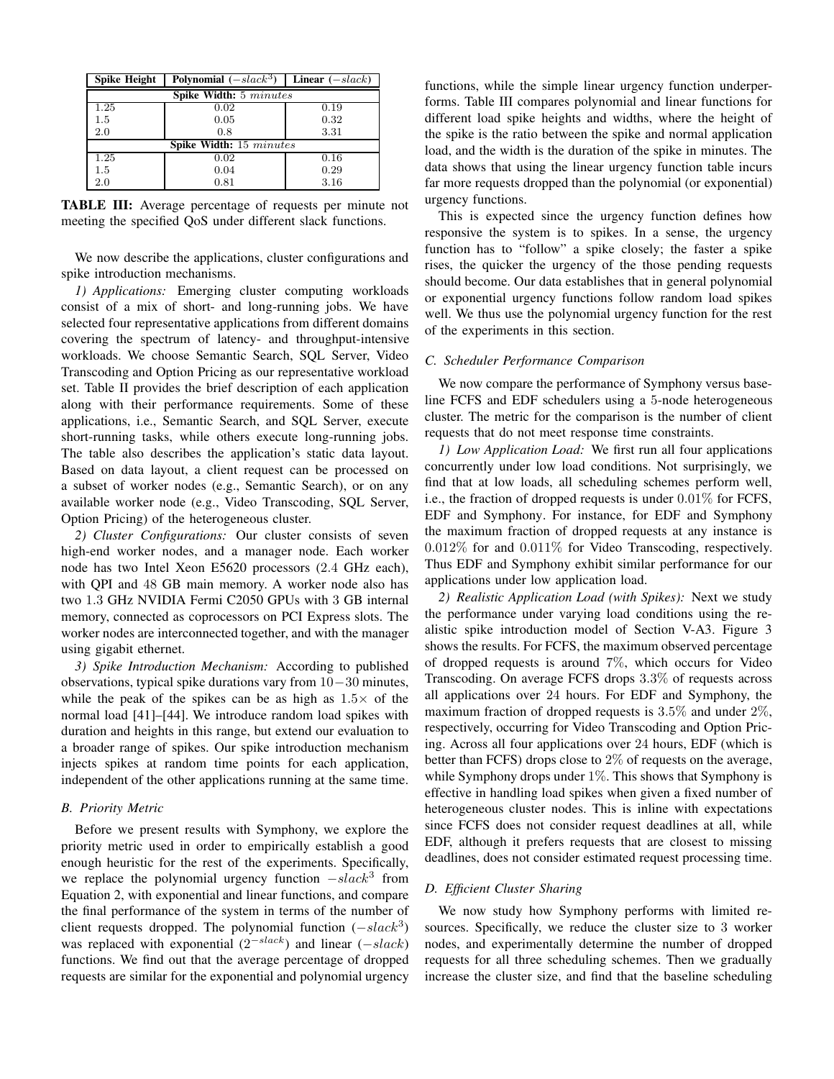| <b>Spike Height</b>           | Polynomial $(-slack3)$ | <b>Linear</b> $(-slack)$ |  |  |  |  |
|-------------------------------|------------------------|--------------------------|--|--|--|--|
| <b>Spike Width:</b> 5 minutes |                        |                          |  |  |  |  |
| 1.25                          | 0.02                   | 0.19                     |  |  |  |  |
| 1.5                           | 0.05                   | 0.32                     |  |  |  |  |
| 2.0                           | 0.8                    | 3.31                     |  |  |  |  |
| Spike Width: 15 minutes       |                        |                          |  |  |  |  |
| 1.25                          | 0.02                   | 0.16                     |  |  |  |  |
| 1.5                           | 0.04                   | 0.29                     |  |  |  |  |
| 2.0                           | 0.81                   | 3.16                     |  |  |  |  |

**TABLE III:** Average percentage of requests per minute not meeting the specified QoS under different slack functions.

We now describe the applications, cluster configurations and spike introduction mechanisms.

*1) Applications:* Emerging cluster computing workloads consist of a mix of short- and long-running jobs. We have selected four representative applications from different domains covering the spectrum of latency- and throughput-intensive workloads. We choose Semantic Search, SQL Server, Video Transcoding and Option Pricing as our representative workload set. Table II provides the brief description of each application along with their performance requirements. Some of these applications, i.e., Semantic Search, and SQL Server, execute short-running tasks, while others execute long-running jobs. The table also describes the application's static data layout. Based on data layout, a client request can be processed on a subset of worker nodes (e.g., Semantic Search), or on any available worker node (e.g., Video Transcoding, SQL Server, Option Pricing) of the heterogeneous cluster.

*2) Cluster Configurations:* Our cluster consists of seven high-end worker nodes, and a manager node. Each worker node has two Intel Xeon E5620 processors (2.4 GHz each), with QPI and 48 GB main memory. A worker node also has two 1.3 GHz NVIDIA Fermi C2050 GPUs with 3 GB internal memory, connected as coprocessors on PCI Express slots. The worker nodes are interconnected together, and with the manager using gigabit ethernet.

*3) Spike Introduction Mechanism:* According to published observations, typical spike durations vary from 10−30 minutes, while the peak of the spikes can be as high as  $1.5\times$  of the normal load [41]–[44]. We introduce random load spikes with duration and heights in this range, but extend our evaluation to a broader range of spikes. Our spike introduction mechanism injects spikes at random time points for each application, independent of the other applications running at the same time.

#### *B. Priority Metric*

Before we present results with Symphony, we explore the priority metric used in order to empirically establish a good enough heuristic for the rest of the experiments. Specifically, we replace the polynomial urgency function  $-slack<sup>3</sup>$  from Equation 2, with exponential and linear functions, and compare the final performance of the system in terms of the number of client requests dropped. The polynomial function (-slack<sup>3</sup>) was replaced with exponential  $(2^{-slack})$  and linear  $(-slack)$ functions. We find out that the average percentage of dropped requests are similar for the exponential and polynomial urgency

functions, while the simple linear urgency function underperforms. Table III compares polynomial and linear functions for different load spike heights and widths, where the height of the spike is the ratio between the spike and normal application load, and the width is the duration of the spike in minutes. The data shows that using the linear urgency function table incurs far more requests dropped than the polynomial (or exponential) urgency functions.

This is expected since the urgency function defines how responsive the system is to spikes. In a sense, the urgency function has to "follow" a spike closely; the faster a spike rises, the quicker the urgency of the those pending requests should become. Our data establishes that in general polynomial or exponential urgency functions follow random load spikes well. We thus use the polynomial urgency function for the rest of the experiments in this section.

#### *C. Scheduler Performance Comparison*

We now compare the performance of Symphony versus baseline FCFS and EDF schedulers using a 5-node heterogeneous cluster. The metric for the comparison is the number of client requests that do not meet response time constraints.

*1) Low Application Load:* We first run all four applications concurrently under low load conditions. Not surprisingly, we find that at low loads, all scheduling schemes perform well, i.e., the fraction of dropped requests is under  $0.01\%$  for FCFS, EDF and Symphony. For instance, for EDF and Symphony the maximum fraction of dropped requests at any instance is 0.012% for and 0.011% for Video Transcoding, respectively. Thus EDF and Symphony exhibit similar performance for our applications under low application load.

*2) Realistic Application Load (with Spikes):* Next we study the performance under varying load conditions using the realistic spike introduction model of Section V-A3. Figure 3 shows the results. For FCFS, the maximum observed percentage of dropped requests is around  $7\%$ , which occurs for Video Transcoding. On average FCFS drops 3.3% of requests across all applications over 24 hours. For EDF and Symphony, the maximum fraction of dropped requests is  $3.5\%$  and under  $2\%$ , respectively, occurring for Video Transcoding and Option Pricing. Across all four applications over 24 hours, EDF (which is better than FCFS) drops close to 2% of requests on the average, while Symphony drops under  $1\%$ . This shows that Symphony is effective in handling load spikes when given a fixed number of heterogeneous cluster nodes. This is inline with expectations since FCFS does not consider request deadlines at all, while EDF, although it prefers requests that are closest to missing deadlines, does not consider estimated request processing time.

#### *D. Efficient Cluster Sharing*

We now study how Symphony performs with limited resources. Specifically, we reduce the cluster size to 3 worker nodes, and experimentally determine the number of dropped requests for all three scheduling schemes. Then we gradually increase the cluster size, and find that the baseline scheduling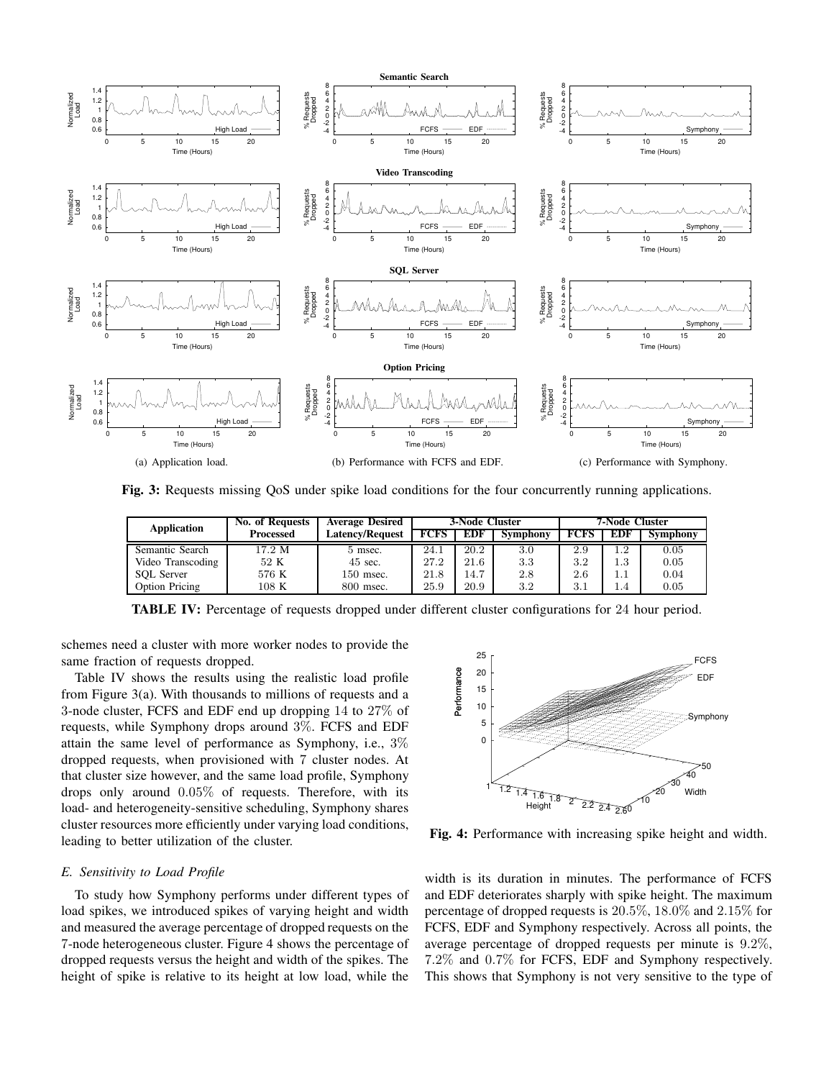

**Fig. 3:** Requests missing QoS under spike load conditions for the four concurrently running applications.

| Application       | <b>No. of Requests</b><br><b>Average Desired</b> |                        | 3-Node Cluster |      |          | 7-Node Cluster |     |          |
|-------------------|--------------------------------------------------|------------------------|----------------|------|----------|----------------|-----|----------|
|                   | <b>Processed</b>                                 | <b>Latency/Request</b> | <b>FCFS</b>    | EDF  | Symphony | FCFS           | EDF | Symphony |
| Semantic Search   | 17.2 M                                           | 5 msec.                | 24.1           | 20.2 | 3.0      | 2.9            | 1.2 | 0.05     |
| Video Transcoding | 52 K                                             | $45 \text{ sec.}$      | 27.2           | 21.6 | 3.3      | 3.2            | 1.3 | 0.05     |
| <b>SOL</b> Server | 576 K                                            | 150 msec.              | 21.8           | 14.7 | 2.8      | 2.6            | 1.1 | 0.04     |
| Option Pricing    | 108K                                             | 800 msec.              | 25.9           | 20.9 | 3.2      | 3.1            | 1.4 | 0.05     |

**TABLE IV:** Percentage of requests dropped under different cluster configurations for 24 hour period.

schemes need a cluster with more worker nodes to provide the same fraction of requests dropped.

Table IV shows the results using the realistic load profile from Figure 3(a). With thousands to millions of requests and a 3-node cluster, FCFS and EDF end up dropping 14 to 27% of requests, while Symphony drops around 3%. FCFS and EDF attain the same level of performance as Symphony, i.e., 3% dropped requests, when provisioned with 7 cluster nodes. At that cluster size however, and the same load profile, Symphony drops only around 0.05% of requests. Therefore, with its load- and heterogeneity-sensitive scheduling, Symphony shares cluster resources more efficiently under varying load conditions, leading to better utilization of the cluster.

#### *E. Sensitivity to Load Profile*

To study how Symphony performs under different types of load spikes, we introduced spikes of varying height and width and measured the average percentage of dropped requests on the 7-node heterogeneous cluster. Figure 4 shows the percentage of dropped requests versus the height and width of the spikes. The height of spike is relative to its height at low load, while the



**Fig. 4:** Performance with increasing spike height and width.

width is its duration in minutes. The performance of FCFS and EDF deteriorates sharply with spike height. The maximum percentage of dropped requests is 20.5%, 18.0% and 2.15% for FCFS, EDF and Symphony respectively. Across all points, the average percentage of dropped requests per minute is 9.2%, 7.2% and 0.7% for FCFS, EDF and Symphony respectively. This shows that Symphony is not very sensitive to the type of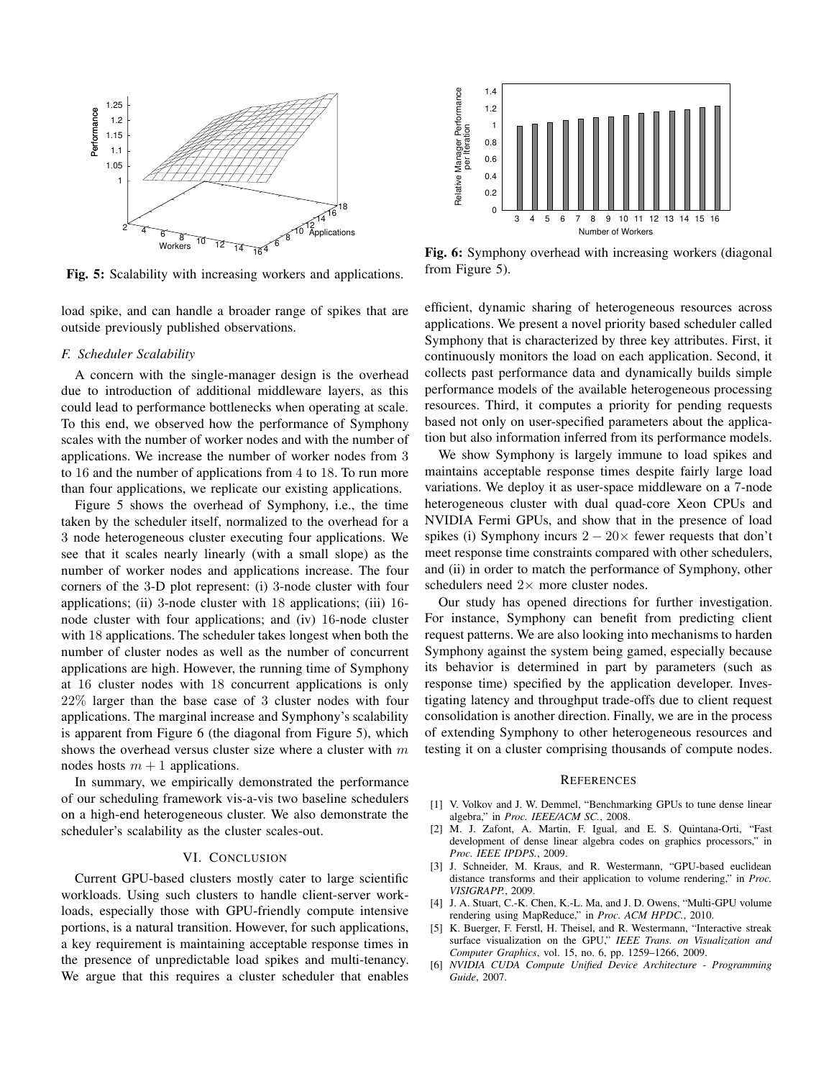

**Fig. 5:** Scalability with increasing workers and applications.

load spike, and can handle a broader range of spikes that are outside previously published observations.

#### *F. Scheduler Scalability*

A concern with the single-manager design is the overhead due to introduction of additional middleware layers, as this could lead to performance bottlenecks when operating at scale. To this end, we observed how the performance of Symphony scales with the number of worker nodes and with the number of applications. We increase the number of worker nodes from 3 to 16 and the number of applications from 4 to 18. To run more than four applications, we replicate our existing applications.

Figure 5 shows the overhead of Symphony, i.e., the time taken by the scheduler itself, normalized to the overhead for a 3 node heterogeneous cluster executing four applications. We see that it scales nearly linearly (with a small slope) as the number of worker nodes and applications increase. The four corners of the 3-D plot represent: (i) 3-node cluster with four applications; (ii) 3-node cluster with 18 applications; (iii) 16 node cluster with four applications; and (iv) 16-node cluster with 18 applications. The scheduler takes longest when both the number of cluster nodes as well as the number of concurrent applications are high. However, the running time of Symphony at 16 cluster nodes with 18 concurrent applications is only 22% larger than the base case of 3 cluster nodes with four applications. The marginal increase and Symphony's scalability is apparent from Figure 6 (the diagonal from Figure 5), which shows the overhead versus cluster size where a cluster with  $m$ nodes hosts  $m + 1$  applications.

In summary, we empirically demonstrated the performance of our scheduling framework vis-a-vis two baseline schedulers on a high-end heterogeneous cluster. We also demonstrate the scheduler's scalability as the cluster scales-out.

#### VI. CONCLUSION

Current GPU-based clusters mostly cater to large scientific workloads. Using such clusters to handle client-server workloads, especially those with GPU-friendly compute intensive portions, is a natural transition. However, for such applications, a key requirement is maintaining acceptable response times in the presence of unpredictable load spikes and multi-tenancy. We argue that this requires a cluster scheduler that enables



**Fig. 6:** Symphony overhead with increasing workers (diagonal from Figure 5).

efficient, dynamic sharing of heterogeneous resources across applications. We present a novel priority based scheduler called Symphony that is characterized by three key attributes. First, it continuously monitors the load on each application. Second, it collects past performance data and dynamically builds simple performance models of the available heterogeneous processing resources. Third, it computes a priority for pending requests based not only on user-specified parameters about the application but also information inferred from its performance models.

We show Symphony is largely immune to load spikes and maintains acceptable response times despite fairly large load variations. We deploy it as user-space middleware on a 7-node heterogeneous cluster with dual quad-core Xeon CPUs and NVIDIA Fermi GPUs, and show that in the presence of load spikes (i) Symphony incurs  $2 - 20 \times$  fewer requests that don't meet response time constraints compared with other schedulers, and (ii) in order to match the performance of Symphony, other schedulers need  $2\times$  more cluster nodes.

Our study has opened directions for further investigation. For instance, Symphony can benefit from predicting client request patterns. We are also looking into mechanisms to harden Symphony against the system being gamed, especially because its behavior is determined in part by parameters (such as response time) specified by the application developer. Investigating latency and throughput trade-offs due to client request consolidation is another direction. Finally, we are in the process of extending Symphony to other heterogeneous resources and testing it on a cluster comprising thousands of compute nodes.

#### **REFERENCES**

- [1] V. Volkov and J. W. Demmel, "Benchmarking GPUs to tune dense linear algebra," in *Proc. IEEE/ACM SC.*, 2008.
- [2] M. J. Zafont, A. Martin, F. Igual, and E. S. Quintana-Orti, "Fast development of dense linear algebra codes on graphics processors," in *Proc. IEEE IPDPS.*, 2009.
- [3] J. Schneider, M. Kraus, and R. Westermann, "GPU-based euclidean distance transforms and their application to volume rendering," in *Proc. VISIGRAPP.*, 2009.
- [4] J. A. Stuart, C.-K. Chen, K.-L. Ma, and J. D. Owens, "Multi-GPU volume rendering using MapReduce," in *Proc. ACM HPDC.*, 2010.
- [5] K. Buerger, F. Ferstl, H. Theisel, and R. Westermann, "Interactive streak surface visualization on the GPU," *IEEE Trans. on Visualization and Computer Graphics*, vol. 15, no. 6, pp. 1259–1266, 2009.
- [6] *NVIDIA CUDA Compute Unified Device Architecture Programming Guide*, 2007.